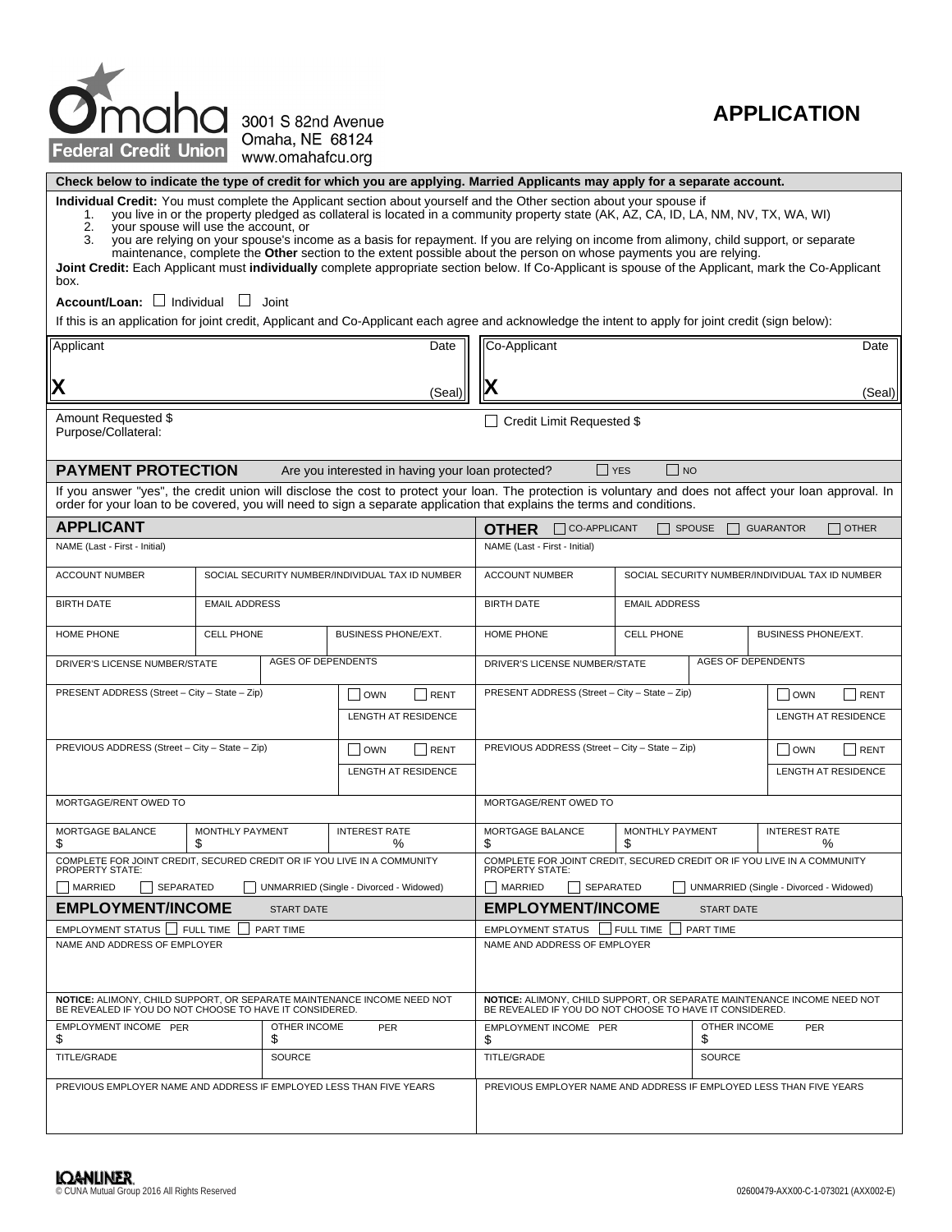

## **APPLICATION**

**Check below to indicate the type of credit for which you are applying. Married Applicants may apply for a separate account.**

**Individual Credit:** You must complete the Applicant section about yourself and the Other section about your spouse if

- 1. you live in or the property pledged as collateral is located in a community property state (AK, AZ, CA, ID, LA, NM, NV, TX, WA, WI)
- 2. your spouse will use the account, or<br>3. you are relying on your spouse's inco you are relying on your spouse's income as a basis for repayment. If you are relying on income from alimony, child support, or separate maintenance, complete the **Other** section to the extent possible about the person on whose payments you are relying.

**Joint Credit:** Each Applicant must **individually** complete appropriate section below. If Co-Applicant is spouse of the Applicant, mark the Co-Applicant box.

**Account/Loan:** □ Individual □ Joint

If this is an application for joint credit, Applicant and Co-Applicant each agree and acknowledge the intent to apply for joint credit (sign below):

| Applicant<br>Date                                                                                                                  |                                                                          |               |                                                                                                    | Co-Applicant<br>Date                                                                                                                                                                                                                                                                 |  |                      |                    |                            |  |  |
|------------------------------------------------------------------------------------------------------------------------------------|--------------------------------------------------------------------------|---------------|----------------------------------------------------------------------------------------------------|--------------------------------------------------------------------------------------------------------------------------------------------------------------------------------------------------------------------------------------------------------------------------------------|--|----------------------|--------------------|----------------------------|--|--|
|                                                                                                                                    |                                                                          |               |                                                                                                    |                                                                                                                                                                                                                                                                                      |  |                      |                    |                            |  |  |
| Χ                                                                                                                                  | (Seal)                                                                   |               |                                                                                                    |                                                                                                                                                                                                                                                                                      |  |                      |                    |                            |  |  |
| Amount Requested \$<br>Purpose/Collateral:                                                                                         |                                                                          |               |                                                                                                    | □ Credit Limit Requested \$                                                                                                                                                                                                                                                          |  |                      |                    |                            |  |  |
|                                                                                                                                    |                                                                          |               |                                                                                                    |                                                                                                                                                                                                                                                                                      |  |                      |                    |                            |  |  |
| <b>PAYMENT PROTECTION</b>                                                                                                          |                                                                          |               | Are you interested in having your loan protected?                                                  | $\Box$ YES<br>$\Box$ No                                                                                                                                                                                                                                                              |  |                      |                    |                            |  |  |
|                                                                                                                                    |                                                                          |               |                                                                                                    | If you answer "yes", the credit union will disclose the cost to protect your loan. The protection is voluntary and does not affect your loan approval. In<br>order for your loan to be covered, you will need to sign a separate application that explains the terms and conditions. |  |                      |                    |                            |  |  |
| <b>APPLICANT</b>                                                                                                                   |                                                                          |               |                                                                                                    | CO-APPLICANT<br>$\Box$ other<br><b>OTHER</b><br><b>SPOUSE</b><br><b>GUARANTOR</b>                                                                                                                                                                                                    |  |                      |                    |                            |  |  |
| NAME (Last - First - Initial)                                                                                                      |                                                                          |               |                                                                                                    | NAME (Last - First - Initial)                                                                                                                                                                                                                                                        |  |                      |                    |                            |  |  |
| ACCOUNT NUMBER                                                                                                                     | <b>ACCOUNT NUMBER</b><br>SOCIAL SECURITY NUMBER/INDIVIDUAL TAX ID NUMBER |               |                                                                                                    |                                                                                                                                                                                                                                                                                      |  |                      |                    |                            |  |  |
| <b>BIRTH DATE</b>                                                                                                                  | <b>EMAIL ADDRESS</b>                                                     |               |                                                                                                    | <b>BIRTH DATE</b>                                                                                                                                                                                                                                                                    |  | <b>EMAIL ADDRESS</b> |                    |                            |  |  |
| HOME PHONE                                                                                                                         | <b>CELL PHONE</b>                                                        |               | <b>BUSINESS PHONE/EXT.</b>                                                                         | HOME PHONE                                                                                                                                                                                                                                                                           |  | <b>CELL PHONE</b>    |                    | <b>BUSINESS PHONE/EXT.</b> |  |  |
| <b>AGES OF DEPENDENTS</b><br>DRIVER'S LICENSE NUMBER/STATE                                                                         |                                                                          |               |                                                                                                    | <b>AGES OF DEPENDENTS</b><br>DRIVER'S LICENSE NUMBER/STATE                                                                                                                                                                                                                           |  |                      |                    |                            |  |  |
| PRESENT ADDRESS (Street - City - State - Zip)<br>  OWN<br>RENT                                                                     |                                                                          |               | PRESENT ADDRESS (Street - City - State - Zip)<br>$\vert$ $\vert$ OWN<br><b>LENGTH AT RESIDENCE</b> |                                                                                                                                                                                                                                                                                      |  |                      |                    | RENT                       |  |  |
| LENGTH AT RESIDENCE                                                                                                                |                                                                          |               |                                                                                                    |                                                                                                                                                                                                                                                                                      |  |                      |                    |                            |  |  |
| PREVIOUS ADDRESS (Street - City - State - Zip)<br>$\Box$ OWN<br>RENT                                                               |                                                                          |               |                                                                                                    | PREVIOUS ADDRESS (Street - City - State - Zip)<br>$\Box$ OWN<br>RENT                                                                                                                                                                                                                 |  |                      |                    |                            |  |  |
| LENGTH AT RESIDENCE                                                                                                                |                                                                          |               |                                                                                                    | <b>LENGTH AT RESIDENCE</b>                                                                                                                                                                                                                                                           |  |                      |                    |                            |  |  |
| MORTGAGE/RENT OWED TO                                                                                                              | MORTGAGE/RENT OWED TO                                                    |               |                                                                                                    |                                                                                                                                                                                                                                                                                      |  |                      |                    |                            |  |  |
| MORTGAGE BALANCE<br><b>MONTHLY PAYMENT</b><br><b>INTEREST RATE</b><br>%<br>\$<br>\$                                                |                                                                          |               |                                                                                                    | <b>MORTGAGE BALANCE</b><br><b>MONTHLY PAYMENT</b><br><b>INTEREST RATE</b><br>\$<br>\$<br>$\%$                                                                                                                                                                                        |  |                      |                    |                            |  |  |
| COMPLETE FOR JOINT CREDIT, SECURED CREDIT OR IF YOU LIVE IN A COMMUNITY<br>PROPERTY STATE:                                         |                                                                          |               |                                                                                                    | COMPLETE FOR JOINT CREDIT, SECURED CREDIT OR IF YOU LIVE IN A COMMUNITY<br><b>PROPERTY STATE:</b>                                                                                                                                                                                    |  |                      |                    |                            |  |  |
| MARRIED<br>SEPARATED                                                                                                               | <b>MARRIED</b><br>SEPARATED<br>UNMARRIED (Single - Divorced - Widowed)   |               |                                                                                                    |                                                                                                                                                                                                                                                                                      |  |                      |                    |                            |  |  |
| <b>EMPLOYMENT/INCOME</b>                                                                                                           | <b>EMPLOYMENT/INCOME</b><br><b>START DATE</b>                            |               |                                                                                                    |                                                                                                                                                                                                                                                                                      |  |                      |                    |                            |  |  |
| EMPLOYMENT STATUS I FULL TIME                                                                                                      | EMPLOYMENT STATUS   FULL TIME<br><b>PART TIME</b>                        |               |                                                                                                    |                                                                                                                                                                                                                                                                                      |  |                      |                    |                            |  |  |
| NAME AND ADDRESS OF EMPLOYER                                                                                                       |                                                                          |               | NAME AND ADDRESS OF EMPLOYER                                                                       |                                                                                                                                                                                                                                                                                      |  |                      |                    |                            |  |  |
| NOTICE: ALIMONY, CHILD SUPPORT, OR SEPARATE MAINTENANCE INCOME NEED NOT<br>BE REVEALED IF YOU DO NOT CHOOSE TO HAVE IT CONSIDERED. |                                                                          |               |                                                                                                    | NOTICE: ALIMONY, CHILD SUPPORT, OR SEPARATE MAINTENANCE INCOME NEED NOT<br>BE REVEALED IF YOU DO NOT CHOOSE TO HAVE IT CONSIDERED.                                                                                                                                                   |  |                      |                    |                            |  |  |
| EMPLOYMENT INCOME PER<br>\$                                                                                                        | OTHER INCOME<br>PER<br>\$                                                |               |                                                                                                    | EMPLOYMENT INCOME PER<br>\$                                                                                                                                                                                                                                                          |  |                      | OTHER INCOME<br>\$ | PER                        |  |  |
| <b>TITLE/GRADE</b>                                                                                                                 |                                                                          | <b>SOURCE</b> |                                                                                                    | TITLE/GRADE                                                                                                                                                                                                                                                                          |  |                      | <b>SOURCE</b>      |                            |  |  |
| PREVIOUS EMPLOYER NAME AND ADDRESS IF EMPLOYED LESS THAN FIVE YEARS                                                                |                                                                          |               |                                                                                                    | PREVIOUS EMPLOYER NAME AND ADDRESS IF EMPLOYED LESS THAN FIVE YEARS                                                                                                                                                                                                                  |  |                      |                    |                            |  |  |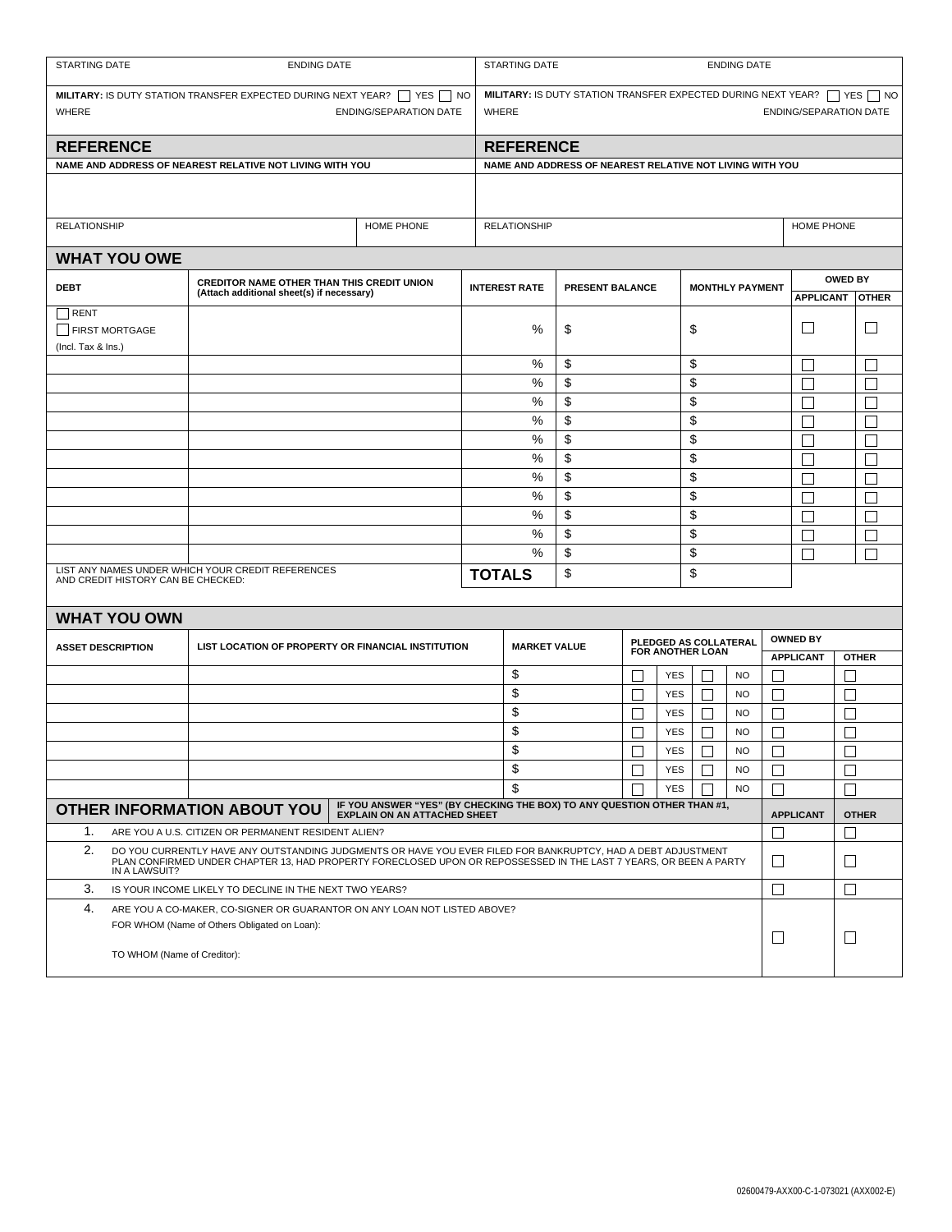| STARTING DATE                                                                                                                                                                                                                                            | <b>ENDING DATE</b>                                                                             |                     |                                                                                                                                     |                     | STARTING DATE<br><b>ENDING DATE</b> |                                         |            |                                                  |                        |                   |                                                    |              |  |
|----------------------------------------------------------------------------------------------------------------------------------------------------------------------------------------------------------------------------------------------------------|------------------------------------------------------------------------------------------------|---------------------|-------------------------------------------------------------------------------------------------------------------------------------|---------------------|-------------------------------------|-----------------------------------------|------------|--------------------------------------------------|------------------------|-------------------|----------------------------------------------------|--------------|--|
| <b>MILITARY:</b> IS DUTY STATION TRANSFER EXPECTED DURING NEXT YEAR? $\Box$ YES $\Box$ NO<br>WHERE<br><b>ENDING/SEPARATION DATE</b>                                                                                                                      |                                                                                                |                     | <b>MILITARY:</b> IS DUTY STATION TRANSFER EXPECTED DURING NEXT YEAR? $\Box$ YES $\Box$ NO<br>WHERE<br><b>ENDING/SEPARATION DATE</b> |                     |                                     |                                         |            |                                                  |                        |                   |                                                    |              |  |
| <b>REFERENCE</b>                                                                                                                                                                                                                                         |                                                                                                |                     |                                                                                                                                     |                     | <b>REFERENCE</b>                    |                                         |            |                                                  |                        |                   |                                                    |              |  |
| NAME AND ADDRESS OF NEAREST RELATIVE NOT LIVING WITH YOU                                                                                                                                                                                                 | NAME AND ADDRESS OF NEAREST RELATIVE NOT LIVING WITH YOU                                       |                     |                                                                                                                                     |                     |                                     |                                         |            |                                                  |                        |                   |                                                    |              |  |
|                                                                                                                                                                                                                                                          |                                                                                                |                     |                                                                                                                                     |                     |                                     |                                         |            |                                                  |                        |                   |                                                    |              |  |
| <b>RELATIONSHIP</b>                                                                                                                                                                                                                                      |                                                                                                | <b>RELATIONSHIP</b> |                                                                                                                                     |                     |                                     |                                         |            | HOME PHONE                                       |                        |                   |                                                    |              |  |
| <b>WHAT YOU OWE</b>                                                                                                                                                                                                                                      |                                                                                                |                     |                                                                                                                                     |                     |                                     |                                         |            |                                                  |                        |                   |                                                    |              |  |
| <b>DEBT</b>                                                                                                                                                                                                                                              | <b>CREDITOR NAME OTHER THAN THIS CREDIT UNION</b><br>(Attach additional sheet(s) if necessary) |                     |                                                                                                                                     |                     |                                     | <b>INTEREST RATE</b><br>PRESENT BALANCE |            |                                                  | <b>MONTHLY PAYMENT</b> |                   | <b>OWED BY</b><br><b>APPLICANT</b><br><b>OTHER</b> |              |  |
| $\neg$ RENT                                                                                                                                                                                                                                              |                                                                                                |                     |                                                                                                                                     |                     |                                     |                                         |            |                                                  |                        |                   |                                                    |              |  |
| FIRST MORTGAGE<br>(Incl. Tax & Ins.)                                                                                                                                                                                                                     |                                                                                                |                     | %                                                                                                                                   | \$<br>\$            |                                     |                                         |            |                                                  | $\Box$                 |                   |                                                    |              |  |
|                                                                                                                                                                                                                                                          |                                                                                                |                     |                                                                                                                                     | %                   | \$                                  |                                         |            | \$                                               |                        |                   | П                                                  | $\mathbf{L}$ |  |
|                                                                                                                                                                                                                                                          |                                                                                                |                     | %                                                                                                                                   | \$<br>\$            |                                     |                                         |            |                                                  |                        | Г                 | $\Box$                                             |              |  |
|                                                                                                                                                                                                                                                          |                                                                                                |                     | %                                                                                                                                   | \$                  |                                     |                                         | \$         |                                                  |                        | Г                 | $\mathbf{L}$                                       |              |  |
|                                                                                                                                                                                                                                                          |                                                                                                |                     | %                                                                                                                                   | \$<br>\$            |                                     |                                         |            |                                                  |                        | Г                 | $\mathbf{L}$                                       |              |  |
|                                                                                                                                                                                                                                                          |                                                                                                |                     | %<br>%                                                                                                                              | \$                  |                                     |                                         | \$         |                                                  |                        | Г                 |                                                    |              |  |
|                                                                                                                                                                                                                                                          |                                                                                                |                     |                                                                                                                                     |                     | \$                                  |                                         |            | \$<br>\$                                         |                        | Г                 |                                                    |              |  |
|                                                                                                                                                                                                                                                          |                                                                                                |                     |                                                                                                                                     | %<br>%              | \$<br>\$                            |                                         |            | \$                                               |                        |                   | Г                                                  |              |  |
|                                                                                                                                                                                                                                                          |                                                                                                |                     |                                                                                                                                     | %                   | \$                                  |                                         |            | \$                                               |                        |                   | Г<br>⊏                                             | $\Box$       |  |
|                                                                                                                                                                                                                                                          |                                                                                                |                     |                                                                                                                                     | %                   | \$                                  |                                         |            | \$                                               |                        |                   | П                                                  | П            |  |
|                                                                                                                                                                                                                                                          |                                                                                                |                     |                                                                                                                                     | %                   | \$                                  |                                         |            | \$                                               |                        |                   | П                                                  | П            |  |
| LIST ANY NAMES UNDER WHICH YOUR CREDIT REFERENCES<br>AND CREDIT HISTORY CAN BE CHECKED:                                                                                                                                                                  |                                                                                                | <b>TOTALS</b>       | \$                                                                                                                                  |                     |                                     | \$                                      |            |                                                  |                        |                   |                                                    |              |  |
| <b>WHAT YOU OWN</b>                                                                                                                                                                                                                                      |                                                                                                |                     |                                                                                                                                     |                     |                                     |                                         |            |                                                  |                        |                   |                                                    |              |  |
|                                                                                                                                                                                                                                                          |                                                                                                |                     |                                                                                                                                     |                     |                                     |                                         |            |                                                  |                        |                   | <b>OWNED BY</b>                                    |              |  |
| <b>ASSET DESCRIPTION</b>                                                                                                                                                                                                                                 | LIST LOCATION OF PROPERTY OR FINANCIAL INSTITUTION                                             |                     |                                                                                                                                     | <b>MARKET VALUE</b> |                                     |                                         |            | PLEDGED AS COLLATERAL<br><b>FOR ANOTHER LOAN</b> |                        |                   | <b>APPLICANT</b>                                   | <b>OTHER</b> |  |
|                                                                                                                                                                                                                                                          |                                                                                                |                     |                                                                                                                                     | \$                  |                                     |                                         | <b>YES</b> |                                                  | <b>NO</b>              |                   |                                                    |              |  |
|                                                                                                                                                                                                                                                          |                                                                                                |                     |                                                                                                                                     | \$                  |                                     |                                         | <b>YES</b> | $\Box$                                           | <b>NO</b>              | $\mathsf{L}$      |                                                    |              |  |
|                                                                                                                                                                                                                                                          |                                                                                                |                     |                                                                                                                                     | \$                  |                                     |                                         | <b>YES</b> |                                                  | <b>NO</b>              | $\mathsf{L}$      |                                                    |              |  |
|                                                                                                                                                                                                                                                          |                                                                                                |                     |                                                                                                                                     | \$                  |                                     |                                         | <b>YES</b> |                                                  | <b>NO</b>              |                   |                                                    |              |  |
|                                                                                                                                                                                                                                                          |                                                                                                |                     |                                                                                                                                     | \$                  |                                     | $\Box$                                  | YES        | $\Box$                                           | <b>NO</b>              | $\Box$            |                                                    | $\Box$       |  |
|                                                                                                                                                                                                                                                          |                                                                                                |                     |                                                                                                                                     | \$                  |                                     |                                         | <b>YES</b> | П                                                | <b>NO</b>              | $\vert \ \ \vert$ |                                                    | $\Box$       |  |
|                                                                                                                                                                                                                                                          |                                                                                                |                     |                                                                                                                                     | \$                  |                                     |                                         | <b>YES</b> |                                                  | <b>NO</b>              | Г                 |                                                    | П            |  |
| IF YOU ANSWER "YES" (BY CHECKING THE BOX) TO ANY QUESTION OTHER THAN #1,<br><b>OTHER INFORMATION ABOUT YOU</b><br><b>EXPLAIN ON AN ATTACHED SHEET</b>                                                                                                    |                                                                                                |                     |                                                                                                                                     |                     |                                     |                                         |            |                                                  |                        |                   | <b>APPLICANT</b>                                   | <b>OTHER</b> |  |
| 1.<br>ARE YOU A U.S. CITIZEN OR PERMANENT RESIDENT ALIEN?                                                                                                                                                                                                |                                                                                                |                     |                                                                                                                                     |                     |                                     |                                         |            |                                                  |                        | $\mathbf{L}$      |                                                    |              |  |
| 2.<br>DO YOU CURRENTLY HAVE ANY OUTSTANDING JUDGMENTS OR HAVE YOU EVER FILED FOR BANKRUPTCY, HAD A DEBT ADJUSTMENT<br>PLAN CONFIRMED UNDER CHAPTER 13, HAD PROPERTY FORECLOSED UPON OR REPOSSESSED IN THE LAST 7 YEARS, OR BEEN A PARTY<br>IN A LAWSUIT? |                                                                                                |                     |                                                                                                                                     |                     |                                     |                                         |            |                                                  |                        | $\mathsf{L}$      |                                                    | $\Box$       |  |
| 3.<br>IS YOUR INCOME LIKELY TO DECLINE IN THE NEXT TWO YEARS?                                                                                                                                                                                            |                                                                                                |                     |                                                                                                                                     |                     |                                     |                                         |            |                                                  |                        | $\Box$            |                                                    | $\Box$       |  |
| 4.<br>ARE YOU A CO-MAKER, CO-SIGNER OR GUARANTOR ON ANY LOAN NOT LISTED ABOVE?<br>FOR WHOM (Name of Others Obligated on Loan):                                                                                                                           |                                                                                                |                     |                                                                                                                                     |                     |                                     |                                         |            |                                                  |                        | $\Box$            |                                                    | ⊔            |  |
| TO WHOM (Name of Creditor):                                                                                                                                                                                                                              |                                                                                                |                     |                                                                                                                                     |                     |                                     |                                         |            |                                                  |                        |                   |                                                    |              |  |